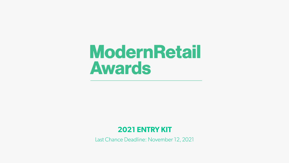## **ModernRetail Awards**

### **2021 ENTRY KIT**

Last Chance Deadline: November 12, 2021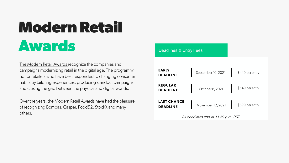# **Modern Retail Awards**

[The Modern Retail Awards r](https://www.modernretail.co/awards/modern-retail-awards/)ecognize the companies and campaigns modernizing retail in the digital age. The program will honor retailers who have best responded to changing consumer habits by tailoring experiences, producing standout campaigns and closing the gap between the physical and digital worlds.

Over the years, the Modern Retail Awards have had the pleasure of recognizing Bombas, Casper, Food52, StockX and many others.

#### Deadlines & Entry Fees

| <b>EARLY</b><br><b>DEADLINE</b>       | September 10, 2021 | \$449 per entry |
|---------------------------------------|--------------------|-----------------|
| <b>REGULAR</b><br><b>DEADLINE</b>     | October 8, 2021    | \$549 per entry |
| <b>LAST CHANCE</b><br><b>DEADLINE</b> | November 12, 2021  | \$699 per entry |

*All deadlines end at 11:59 p.m. PST*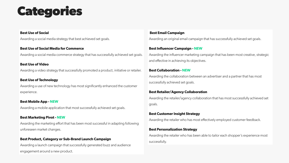### **Categories**

#### **Best Use of Social**

Awarding a social media strategy that best achieved set goals.

**Best Use of Social Media for Commerce** Awarding a social media commerce strategy that has successfully achieved set goals.

#### **Best Use of Video**

Awarding a video strategy that successfully promoted a product, initiative or retailer.

#### **Best Use of Technology**

Awarding a use of new technology has most significantly enhanced the customer experience.

#### **Best Mobile App - NEW**

Awarding a mobile application that most successfully achieved set goals.

#### **Best Marketing Pivot - NEW**

Awarding the marketing effort that has been most successful in adapting following unforeseen market changes.

#### **Best Product, Category or Sub-Brand Launch Campaign**

Awarding a launch campaign that successfully generated buzz and audience engagement around a new product.

#### **Best Email Campaign**

Awarding an original email campaign that has successfully achieved set goals.

#### **Best Influencer Campaign - NEW**

Awarding the influencer marketing campaign that has been most creative, strategic and effective in achieving its objectives.

#### **Best Collaboration - NEW**

Awarding the collaboration between an advertiser and a partner that has most successfully achieved set goals.

#### **Best Retailer/Agency Collaboration**

Awarding the retailer/agency collaboration that has most successfully achieved set goals.

#### **Best Customer Insight Strategy**

Awarding the retailer who has most effectively employed customer feedback.

#### **Best Personalization Strategy**

Awarding the retailer who has been able to tailor each shopper's experience most successfully.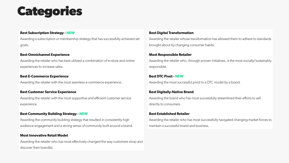## **Categories**

#### **Best Subscription Strategy - NEW**

Awarding a subscription or membership strategy that has successfully achieved set goals.

#### **Best Omnichannel Experience**

Awarding the retailer who has best utilized a combination of in-store and online experiences to increase sales.

#### **Best E-Commerce Experience**

Awarding the retailer with the most seamless e-commerce experience.

#### **Best Customer Service Experience**

Awarding the retailer with the most supportive and efficient customer service experience.

#### **Best Community Building Strategy - NEW**

Awarding the community building strategy that resulted in consistently high audience engagement and a strong sense of community built around a brand.

#### **Most Innovative Retail Model**

Awarding the retailer who has most effectively changed the way customers shop and discover their brand(s).

#### **Best Digital Transformation**

Awarding the retailer whose transformation has allowed them to adhere to standards brought about by changing consumer habits.

#### **Most Responsible Retailer**

Awarding the retailer who, through proven initiatives, is the most socially/sustainably responsible.

#### **Best DTC Pivot - NEW**

Awarding the most successful pivot to a DTC model by a brand.

#### **Best Digitally-Native Brand**

Awarding the brand who has most successfully streamlined their efforts to sell directly to consumers.

#### **Best Established Retailer**

Awarding the retailer who has most successfully navigated changing market forces to maintain a successful brand and business.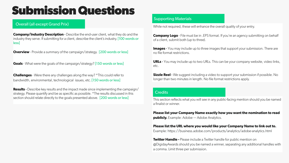### **Submission Questions**

**Company/Industry Description** - Describe the end-user client, what they do and the industry they serve. If submitting for a client, describe the client's industry. [100 words or less]

**Overview** - Provide a summary of the campaign/strategy. [200 words or less]

**Goals** - What were the goals of the campaign/strategy? [150 words or less]

**Challenges** - Were there any challenges along the way? \*This could refer to bandwidth, environmental, technological issues, etc. [150 words or less]

**Results** - Describe key results and the impact made since implementing the campaign/ strategy. Please quantify and be as specific as possible. \*The results discussed in this section should relate directly to the goals presented above. [200 words or less]

#### Supporting Materials

Overall (all except Grand Prix) **Coverall (all except Grand Prix)** While not required, these will enhance the overall quality of your entry.

**Company Logo** - File must be in . EPS format. If you're an agency submitting on behalf of a client, submit both (up to three).

**Images** - You may include up to three images that support your submission. There are no file format restrictions.

**URLs** - You may include up to two URLs. This can be your company website, video links, etc.

**Sizzle Reel** - We suggest including a video to support your submission if possible. No longer than two minutes in length. No file format restrictions apply.

#### **Credits**

This section reflects what you will see in any public-facing mention should you be named a finalist or winner.

**Please list your Company Name exactly how you want the nomination to read publicly.** Example: Adobe — Adobe Analytics.

#### **Please list the URL where you would like your Company Name to link out to.**

Example: https://business.adobe.com/products/analytics/adobe-analytics.html

**Twitter Handle -** Please include a Twitter handle for public mention on @DigidayAwards should you be named a winner, separating any additional handles with a comma. Limit three per submission.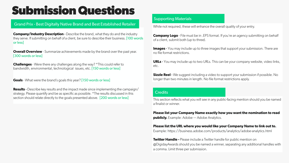### **Submission Questions**

#### Grand Prix - Best Digitally Native Brand and Best Established Retailer

**Company/Industry Description** - Describe the brand, what they do and the industry they serve. If submitting on behalf of a client, be sure to describe their business. [100 words or less]

**Overall Overview** - Summarize achievements made by the brand over the past year. [300 words or less]

**Challenges** - Were there any challenges along the way? \*This could refer to bandwidth, environmental, technological issues, etc. [150 words or less]

**Goals** - What were the brand's goals this year? [150 words or less]

**Results** - Describe key results and the impact made since implementing the campaign/ strategy. Please quantify and be as specific as possible. \*The results discussed in this section should relate directly to the goals presented above. [200 words or less]

#### Supporting Materials

While not required, these will enhance the overall quality of your entry.

**Company Logo** - File must be in . EPS format. If you're an agency submitting on behalf of a client, submit both (up to three).

**Images** - You may include up to three images that support your submission. There are no file format restrictions.

**URLs** - You may include up to two URLs. This can be your company website, video links, etc.

**Sizzle Reel** - We suggest including a video to support your submission if possible. No longer than two minutes in length. No file format restrictions apply.

#### **Credits**

This section reflects what you will see in any public-facing mention should you be named a finalist or winner.

**Please list your Company Name exactly how you want the nomination to read publicly.** Example: Adobe — Adobe Analytics.

#### **Please list the URL where you would like your Company Name to link out to.**

Example: https://business.adobe.com/products/analytics/adobe-analytics.html

**Twitter Handle -** Please include a Twitter handle for public mention on @DigidayAwards should you be named a winner, separating any additional handles with a comma. Limit three per submission.